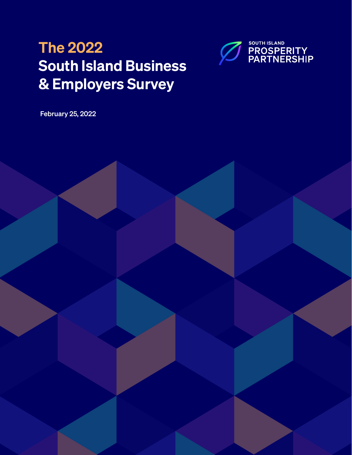# The 2022 South Island Business & Employers Survey



February 25, 2022

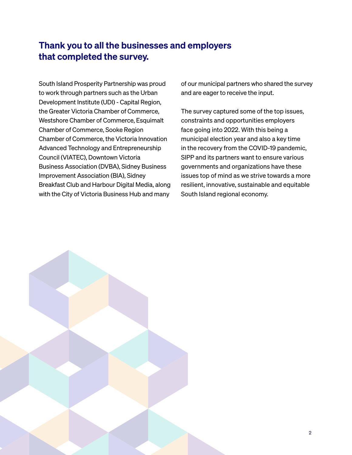### Thank you to all the businesses and employers that completed the survey.

South Island Prosperity Partnership was proud to work through partners such as the Urban Development Institute (UDI) - Capital Region, the Greater Victoria Chamber of Commerce, Westshore Chamber of Commerce, Esquimalt Chamber of Commerce, Sooke Region Chamber of Commerce, the Victoria Innovation Advanced Technology and Entrepreneurship Council (VIATEC), Downtown Victoria Business Association (DVBA), Sidney Business Improvement Association (BIA), Sidney Breakfast Club and Harbour Digital Media, along with the City of Victoria Business Hub and many

of our municipal partners who shared the survey and are eager to receive the input.

The survey captured some of the top issues, constraints and opportunities employers face going into 2022. With this being a municipal election year and also a key time in the recovery from the COVID-19 pandemic, SIPP and its partners want to ensure various governments and organizations have these issues top of mind as we strive towards a more resilient, innovative, sustainable and equitable South Island regional economy.

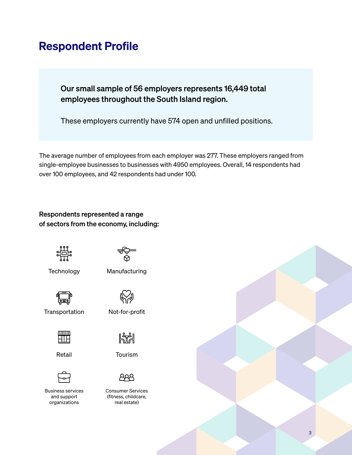### Respondent Profile

Our small sample of 56 employers represents 16,449 total employees throughout the South Island region.

These employers currently have 574 open and unfilled positions.

The average number of employees from each employer was 277. These employers ranged from single-employee businesses to businesses with 4950 employees. Overall, 14 respondents had over 100 employees, and 42 respondents had under 100.

#### Respondents represented a range of sectors from the economy, including:



- **Technology**
- Manufacturing



**Transportation** 



Retail



Business services and support organizations



Not-for-profit

Tourism



Consumer Services (fitness, childcare, real estate)

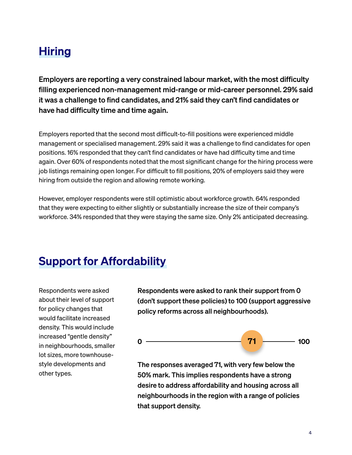### Hiring

Employers are reporting a very constrained labour market, with the most difficulty filling experienced non-management mid-range or mid-career personnel. 29% said it was a challenge to find candidates, and 21% said they can't find candidates or have had difficulty time and time again.

Employers reported that the second most difficult-to-fill positions were experienced middle management or specialised management. 29% said it was a challenge to find candidates for open positions. 16% responded that they can't find candidates or have had difficulty time and time again. Over 60% of respondents noted that the most significant change for the hiring process were job listings remaining open longer. For difficult to fill positions, 20% of employers said they were hiring from outside the region and allowing remote working.

However, employer respondents were still optimistic about workforce growth. 64% responded that they were expecting to either slightly or substantially increase the size of their company's workforce. 34% responded that they were staying the same size. Only 2% anticipated decreasing.

### Support for Affordability

Respondents were asked about their level of support for policy changes that would facilitate increased density. This would include increased "gentle density" in neighbourhoods, smaller lot sizes, more townhousestyle developments and other types.

Respondents were asked to rank their support from 0 (don't support these policies) to 100 (support aggressive policy reforms across all neighbourhoods).



The responses averaged 71, with very few below the 50% mark. This implies respondents have a strong desire to address affordability and housing across all neighbourhoods in the region with a range of policies that support density.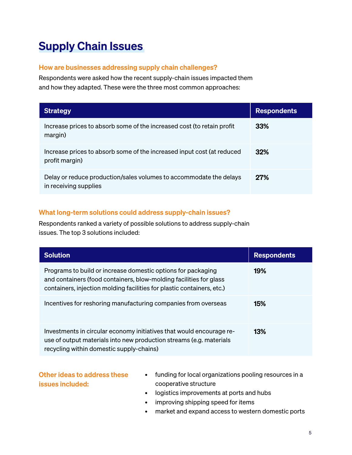## Supply Chain Issues

#### How are businesses addressing supply chain challenges?

Respondents were asked how the recent supply-chain issues impacted them and how they adapted. These were the three most common approaches:

| <b>Strategy</b>                                                                             | <b>Respondents</b> |
|---------------------------------------------------------------------------------------------|--------------------|
| Increase prices to absorb some of the increased cost (to retain profit<br>margin)           | 33%                |
| Increase prices to absorb some of the increased input cost (at reduced<br>profit margin)    | 32%                |
| Delay or reduce production/sales volumes to accommodate the delays<br>in receiving supplies | <b>27%</b>         |

#### What long-term solutions could address supply-chain issues?

Respondents ranked a variety of possible solutions to address supply-chain issues. The top 3 solutions included:

| <b>Solution</b>                                                                                                                                                                                              | <b>Respondents</b> |
|--------------------------------------------------------------------------------------------------------------------------------------------------------------------------------------------------------------|--------------------|
| Programs to build or increase domestic options for packaging<br>and containers (food containers, blow-molding facilities for glass<br>containers, injection molding facilities for plastic containers, etc.) | 19%                |
| Incentives for reshoring manufacturing companies from overseas                                                                                                                                               | 15%                |
| Investments in circular economy initiatives that would encourage re-<br>use of output materials into new production streams (e.g. materials<br>recycling within domestic supply-chains)                      | 13%                |

#### Other ideas to address these issues included:

- funding for local organizations pooling resources in a cooperative structure
- logistics improvements at ports and hubs
- improving shipping speed for items
- market and expand access to western domestic ports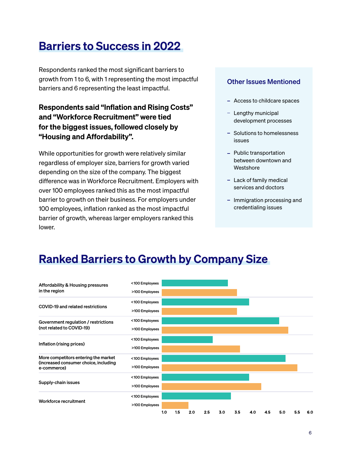### Barriers to Success in 2022

Respondents ranked the most significant barriers to growth from 1 to 6, with 1 representing the most impactful barriers and 6 representing the least impactful.

Respondents said "Inflation and Rising Costs" and "Workforce Recruitment" were tied for the biggest issues, followed closely by "Housing and Affordability".

While opportunities for growth were relatively similar regardless of employer size, barriers for growth varied depending on the size of the company. The biggest difference was in Workforce Recruitment. Employers with over 100 employees ranked this as the most impactful barrier to growth on their business. For employers under 100 employees, inflation ranked as the most impactful barrier of growth, whereas larger employers ranked this lower.

#### Other Issues Mentioned

- Access to childcare spaces
- $-$  Lengthy municipal development processes
- Solutions to homelessness issues
- Public transportation between downtown and **Westshore**
- $-$  Lack of family medical services and doctors
- Immigration processing and credentialing issues

### Ranked Barriers to Growth by Company Size

| Affordability & Housing pressures<br>in the region                                           | <100 Employees |     |     |                  |     |     |     |     |     |     |     |     |
|----------------------------------------------------------------------------------------------|----------------|-----|-----|------------------|-----|-----|-----|-----|-----|-----|-----|-----|
|                                                                                              | >100 Employees |     |     |                  |     |     |     |     |     |     |     |     |
| COVID-19 and related restrictions                                                            | <100 Employees |     |     |                  |     |     |     |     |     |     |     |     |
|                                                                                              | >100 Employees |     |     |                  |     |     |     |     |     |     |     |     |
| Government regulation / restrictions<br>(not related to COVID-19)                            | <100 Employees |     |     |                  |     |     |     |     |     |     |     |     |
|                                                                                              | >100 Employees |     |     |                  |     |     |     |     |     |     |     |     |
| Inflation (rising prices)                                                                    | <100 Employees |     |     |                  |     |     |     |     |     |     |     |     |
|                                                                                              | >100 Employees |     |     |                  |     |     |     |     |     |     |     |     |
| More competitors entering the market<br>(increased consumer choice, including<br>e-commerce) | <100 Employees |     |     |                  |     |     |     |     |     |     |     |     |
|                                                                                              | >100 Employees |     |     |                  |     |     |     |     |     |     |     |     |
| Supply-chain issues                                                                          | <100 Employees |     |     |                  |     |     |     |     |     |     |     |     |
|                                                                                              | >100 Employees |     |     |                  |     |     |     |     |     |     |     |     |
| Workforce recruitment                                                                        | <100 Employees |     |     |                  |     |     |     |     |     |     |     |     |
|                                                                                              | >100 Employees |     |     |                  |     |     |     |     |     |     |     |     |
|                                                                                              |                | 1.0 | 1.5 | 2.0 <sub>1</sub> | 2.5 | 3.0 | 3.5 | 4.0 | 4.5 | 5.0 | 5.5 | 6.0 |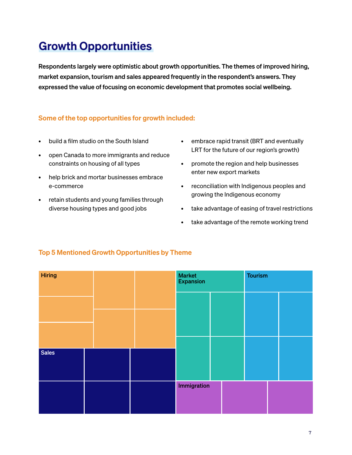## Growth Opportunities

Respondents largely were optimistic about growth opportunities. The themes of improved hiring, market expansion, tourism and sales appeared frequently in the respondent's answers. They expressed the value of focusing on economic development that promotes social wellbeing.

#### Some of the top opportunities for growth included:

- build a film studio on the South Island
- open Canada to more immigrants and reduce constraints on housing of all types
- help brick and mortar businesses embrace e-commerce
- retain students and young families through diverse housing types and good jobs
- embrace rapid transit (BRT and eventually LRT for the future of our region's growth)
- promote the region and help businesses enter new export markets
- reconciliation with Indigenous peoples and growing the Indigenous economy
- take advantage of easing of travel restrictions
- take advantage of the remote working trend



#### Top 5 Mentioned Growth Opportunities by Theme